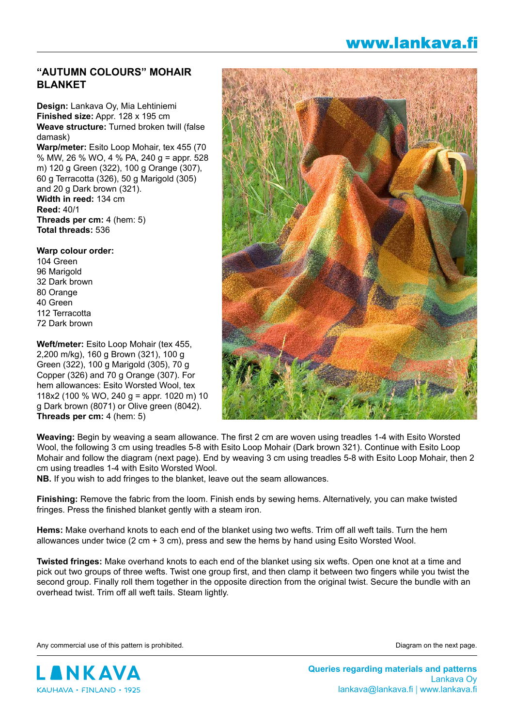## www.lankava.fi

## **"AUTUMN COLOURS" MOHAIR BLANKET**

**Design:** Lankava Oy, Mia Lehtiniemi **Finished size:** Appr. 128 x 195 cm **Weave structure:** Turned broken twill (false damask) **Warp/meter:** Esito Loop Mohair, tex 455 (70 % MW, 26 % WO, 4 % PA, 240 g = appr. 528 m) 120 g Green (322), 100 g Orange (307), 60 g Terracotta (326), 50 g Marigold (305) and 20 g Dark brown (321). **Width in reed:** 134 cm **Reed:** 40/1 **Threads per cm:** 4 (hem: 5) **Total threads:** 536

**Warp colour order:** 104 Green 96 Marigold 32 Dark brown 80 Orange 40 Green 112 Terracotta 72 Dark brown

**Weft/meter:** Esito Loop Mohair (tex 455, 2,200 m/kg), 160 g Brown (321), 100 g Green (322), 100 g Marigold (305), 70 g Copper (326) and 70 g Orange (307). For hem allowances: Esito Worsted Wool, tex 118x2 (100 % WO, 240 g = appr. 1020 m) 10 g Dark brown (8071) or Olive green (8042). **Threads per cm:** 4 (hem: 5)



**Weaving:** Begin by weaving a seam allowance. The first 2 cm are woven using treadles 1-4 with Esito Worsted Wool, the following 3 cm using treadles 5-8 with Esito Loop Mohair (Dark brown 321). Continue with Esito Loop Mohair and follow the diagram (next page). End by weaving 3 cm using treadles 5-8 with Esito Loop Mohair, then 2 cm using treadles 1-4 with Esito Worsted Wool.

**NB.** If you wish to add fringes to the blanket, leave out the seam allowances.

**Finishing:** Remove the fabric from the loom. Finish ends by sewing hems. Alternatively, you can make twisted fringes. Press the finished blanket gently with a steam iron.

**Hems:** Make overhand knots to each end of the blanket using two wefts. Trim off all weft tails. Turn the hem allowances under twice  $(2 \text{ cm} + 3 \text{ cm})$ , press and sew the hems by hand using Esito Worsted Wool.

**Twisted fringes:** Make overhand knots to each end of the blanket using six wefts. Open one knot at a time and pick out two groups of three wefts. Twist one group first, and then clamp it between two fingers while you twist the second group. Finally roll them together in the opposite direction from the original twist. Secure the bundle with an overhead twist. Trim off all weft tails. Steam lightly.

Any commercial use of this pattern is prohibited. The next page of this pattern is prohibited.



**Queries regarding materials and patterns** Lankava Oy lankava@lankava.fi | www.lankava.fi